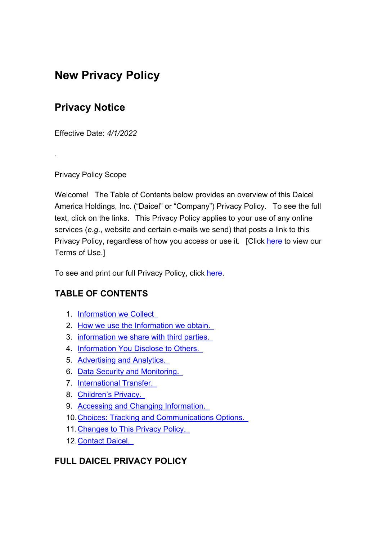# **New Privacy Policy**

# **Privacy Notice**

Effective Date: *4/1/2022*

Privacy Policy Scope

.

Welcome! The Table of Contents below provides an overview of this Daicel America Holdings, Inc. ("Daicel" or "Company") Privacy Policy. To see the full text, click on the links. This Privacy Policy applies to your use of any online services (*e.g.*, website and certain e-mails we send) that posts a link to this Privacy Policy, regardless of how you access or use it. [Click [here](https://www.daicelamerica.com/terms) to view our Terms of Use.]

To see and print our full Privacy Policy, click [here.](https://www.daicelamerica.com/pdf/privacy_policy_20220401.pdf)

# **TABLE OF CONTENTS**

- 1. Information we Collect
- 2. How we use the Information we obtain.
- 3. information we share with third parties.
- 4. Information You Disclose to Others.
- 5. Advertising and Analytics.
- 6. Data Security and Monitoring.
- 7. International Transfer.
- 8. Children's Privacy.
- 9. Accessing and Changing Information.
- 10.Choices: Tracking and Communications Options.
- 11.Changes to This Privacy Policy.
- 12. Contact Daicel.

# **FULL DAICEL PRIVACY POLICY**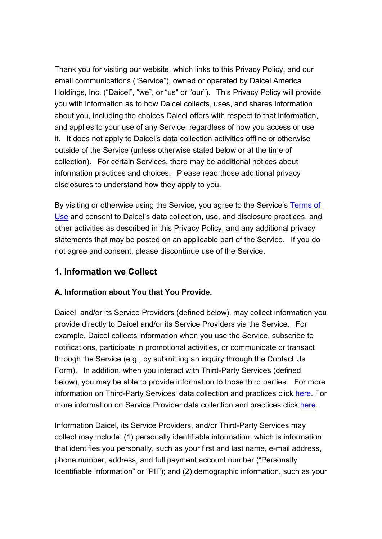Thank you for visiting our website, which links to this Privacy Policy, and our email communications ("Service"), owned or operated by Daicel America Holdings, Inc. ("Daicel", "we", or "us" or "our"). This Privacy Policy will provide you with information as to how Daicel collects, uses, and shares information about you, including the choices Daicel offers with respect to that information, and applies to your use of any Service, regardless of how you access or use it. It does not apply to Daicel's data collection activities offline or otherwise outside of the Service (unless otherwise stated below or at the time of collection). For certain Services, there may be additional notices about information practices and choices. Please read those additional privacy disclosures to understand how they apply to you.

By visiting or otherwise using the Service, you agree to the Service's [Terms of](https://www.daicelamerica.com/terms)  [Use](https://www.daicelamerica.com/terms) and consent to Daicel's data collection, use, and disclosure practices, and other activities as described in this Privacy Policy, and any additional privacy statements that may be posted on an applicable part of the Service. If you do not agree and consent, please discontinue use of the Service.

### **1. Information we Collect**

### **A. Information about You that You Provide.**

Daicel, and/or its Service Providers (defined below), may collect information you provide directly to Daicel and/or its Service Providers via the Service. For example, Daicel collects information when you use the Service, subscribe to notifications, participate in promotional activities, or communicate or transact through the Service (e.g., by submitting an inquiry through the Contact Us Form). In addition, when you interact with Third-Party Services (defined below), you may be able to provide information to those third parties. For more information on Third-Party Services' data collection and practices click here. For more information on Service Provider data collection and practices click here.

Information Daicel, its Service Providers, and/or Third-Party Services may collect may include: (1) personally identifiable information, which is information that identifies you personally, such as your first and last name, e-mail address, phone number, address, and full payment account number ("Personally Identifiable Information" or "PII"); and (2) demographic information, such as your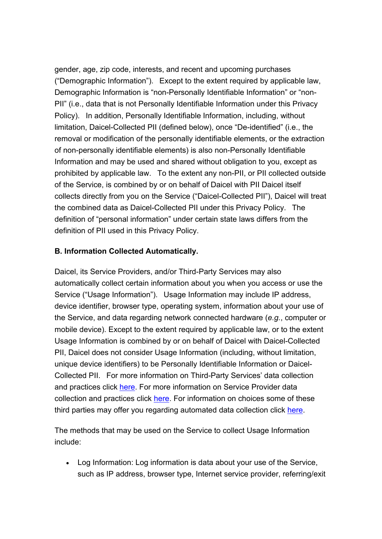gender, age, zip code, interests, and recent and upcoming purchases ("Demographic Information"). Except to the extent required by applicable law, Demographic Information is "non-Personally Identifiable Information" or "non-PII" (i.e., data that is not Personally Identifiable Information under this Privacy Policy). In addition, Personally Identifiable Information, including, without limitation, Daicel-Collected PII (defined below), once "De-identified" (i.e., the removal or modification of the personally identifiable elements, or the extraction of non-personally identifiable elements) is also non-Personally Identifiable Information and may be used and shared without obligation to you, except as prohibited by applicable law. To the extent any non-PII, or PII collected outside of the Service, is combined by or on behalf of Daicel with PII Daicel itself collects directly from you on the Service ("Daicel-Collected PII"), Daicel will treat the combined data as Daicel-Collected PII under this Privacy Policy. The definition of "personal information" under certain state laws differs from the definition of PII used in this Privacy Policy.

#### **B. Information Collected Automatically.**

Daicel, its Service Providers, and/or Third-Party Services may also automatically collect certain information about you when you access or use the Service ("Usage Information"). Usage Information may include IP address, device identifier, browser type, operating system, information about your use of the Service, and data regarding network connected hardware (*e.g.*, computer or mobile device). Except to the extent required by applicable law, or to the extent Usage Information is combined by or on behalf of Daicel with Daicel-Collected PII, Daicel does not consider Usage Information (including, without limitation, unique device identifiers) to be Personally Identifiable Information or Daicel-Collected PII. For more information on Third-Party Services' data collection and practices click here. For more information on Service Provider data collection and practices click here. For information on choices some of these third parties may offer you regarding automated data collection click here.

The methods that may be used on the Service to collect Usage Information include:

• Log Information: Log information is data about your use of the Service, such as IP address, browser type, Internet service provider, referring/exit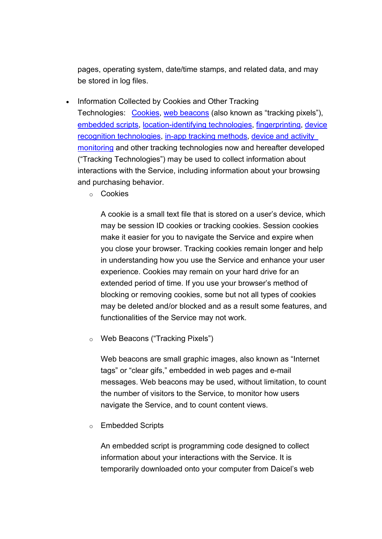pages, operating system, date/time stamps, and related data, and may be stored in log files.

- Information Collected by Cookies and Other Tracking Technologies: Cookies, web beacons (also known as "tracking pixels"), embedded scripts, location-identifying technologies, fingerprinting, device recognition technologies, in-app tracking methods, device and activity monitoring and other tracking technologies now and hereafter developed ("Tracking Technologies") may be used to collect information about interactions with the Service, including information about your browsing and purchasing behavior.
	- o Cookies

A cookie is a small text file that is stored on a user's device, which may be session ID cookies or tracking cookies. Session cookies make it easier for you to navigate the Service and expire when you close your browser. Tracking cookies remain longer and help in understanding how you use the Service and enhance your user experience. Cookies may remain on your hard drive for an extended period of time. If you use your browser's method of blocking or removing cookies, some but not all types of cookies may be deleted and/or blocked and as a result some features, and functionalities of the Service may not work.

o Web Beacons ("Tracking Pixels")

Web beacons are small graphic images, also known as "Internet tags" or "clear gifs," embedded in web pages and e-mail messages. Web beacons may be used, without limitation, to count the number of visitors to the Service, to monitor how users navigate the Service, and to count content views.

o Embedded Scripts

An embedded script is programming code designed to collect information about your interactions with the Service. It is temporarily downloaded onto your computer from Daicel's web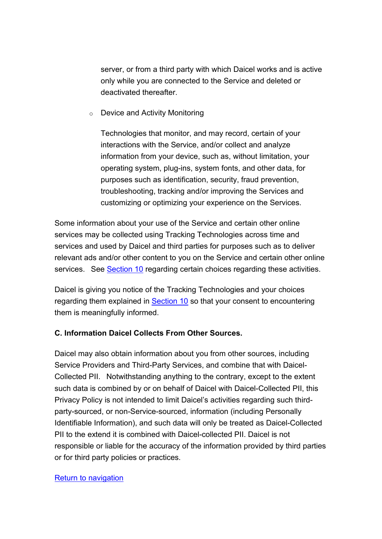server, or from a third party with which Daicel works and is active only while you are connected to the Service and deleted or deactivated thereafter.

o Device and Activity Monitoring

Technologies that monitor, and may record, certain of your interactions with the Service, and/or collect and analyze information from your device, such as, without limitation, your operating system, plug-ins, system fonts, and other data, for purposes such as identification, security, fraud prevention, troubleshooting, tracking and/or improving the Services and customizing or optimizing your experience on the Services.

Some information about your use of the Service and certain other online services may be collected using Tracking Technologies across time and services and used by Daicel and third parties for purposes such as to deliver relevant ads and/or other content to you on the Service and certain other online services. See Section 10 regarding certain choices regarding these activities.

Daicel is giving you notice of the Tracking Technologies and your choices regarding them explained in Section 10 so that your consent to encountering them is meaningfully informed.

#### **C. Information Daicel Collects From Other Sources.**

Daicel may also obtain information about you from other sources, including Service Providers and Third-Party Services, and combine that with Daicel-Collected PII. Notwithstanding anything to the contrary, except to the extent such data is combined by or on behalf of Daicel with Daicel-Collected PII, this Privacy Policy is not intended to limit Daicel's activities regarding such thirdparty-sourced, or non-Service-sourced, information (including Personally Identifiable Information), and such data will only be treated as Daicel-Collected PII to the extend it is combined with Daicel-collected PII. Daicel is not responsible or liable for the accuracy of the information provided by third parties or for third party policies or practices.

#### [Return to navigation](file://privacy-policy)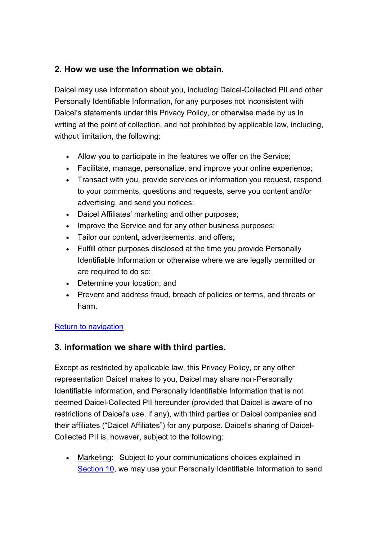# **2. How we use the Information we obtain.**

Daicel may use information about you, including Daicel-Collected PII and other Personally Identifiable Information, for any purposes not inconsistent with Daicel's statements under this Privacy Policy, or otherwise made by us in writing at the point of collection, and not prohibited by applicable law, including, without limitation, the following:

- Allow you to participate in the features we offer on the Service;
- Facilitate, manage, personalize, and improve your online experience;
- Transact with you, provide services or information you request, respond to your comments, questions and requests, serve you content and/or advertising, and send you notices;
- Daicel Affiliates' marketing and other purposes;
- Improve the Service and for any other business purposes;
- Tailor our content, advertisements, and offers;
- Fulfill other purposes disclosed at the time you provide Personally Identifiable Information or otherwise where we are legally permitted or are required to do so;
- Determine your location; and
- Prevent and address fraud, breach of policies or terms, and threats or harm.

### [Return to navigation](file://privacy-policy)

# **3. information we share with third parties.**

Except as restricted by applicable law, this Privacy Policy, or any other representation Daicel makes to you, Daicel may share non-Personally Identifiable Information, and Personally Identifiable Information that is not deemed Daicel-Collected PII hereunder (provided that Daicel is aware of no restrictions of Daicel's use, if any), with third parties or Daicel companies and their affiliates ("Daicel Affiliates") for any purpose. Daicel's sharing of Daicel-Collected PII is, however, subject to the following:

• Marketing: Subject to your communications choices explained in Section 10, we may use your Personally Identifiable Information to send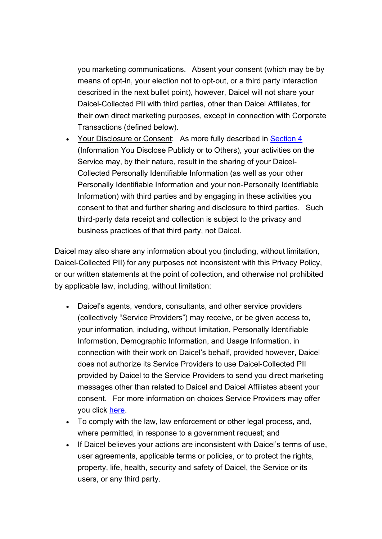you marketing communications. Absent your consent (which may be by means of opt-in, your election not to opt-out, or a third party interaction described in the next bullet point), however, Daicel will not share your Daicel-Collected PII with third parties, other than Daicel Affiliates, for their own direct marketing purposes, except in connection with Corporate Transactions (defined below).

• Your Disclosure or Consent: As more fully described in Section 4 (Information You Disclose Publicly or to Others), your activities on the Service may, by their nature, result in the sharing of your Daicel-Collected Personally Identifiable Information (as well as your other Personally Identifiable Information and your non-Personally Identifiable Information) with third parties and by engaging in these activities you consent to that and further sharing and disclosure to third parties. Such third-party data receipt and collection is subject to the privacy and business practices of that third party, not Daicel.

Daicel may also share any information about you (including, without limitation, Daicel-Collected PII) for any purposes not inconsistent with this Privacy Policy, or our written statements at the point of collection, and otherwise not prohibited by applicable law, including, without limitation:

- Daicel's agents, vendors, consultants, and other service providers (collectively "Service Providers") may receive, or be given access to, your information, including, without limitation, Personally Identifiable Information, Demographic Information, and Usage Information, in connection with their work on Daicel's behalf, provided however, Daicel does not authorize its Service Providers to use Daicel-Collected PII provided by Daicel to the Service Providers to send you direct marketing messages other than related to Daicel and Daicel Affiliates absent your consent. For more information on choices Service Providers may offer you click here.
- To comply with the law, law enforcement or other legal process, and, where permitted, in response to a government request; and
- If Daicel believes your actions are inconsistent with Daicel's terms of use, user agreements, applicable terms or policies, or to protect the rights, property, life, health, security and safety of Daicel, the Service or its users, or any third party.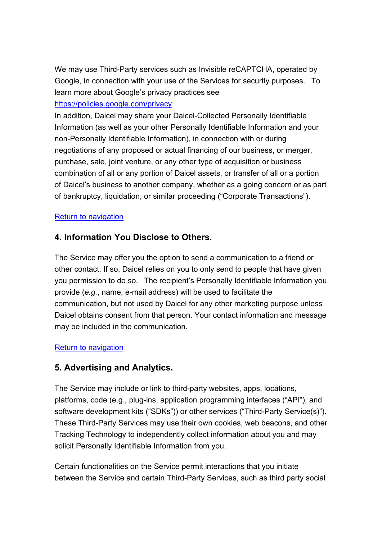We may use Third-Party services such as Invisible reCAPTCHA, operated by Google, in connection with your use of the Services for security purposes. To learn more about Google's privacy practices see [https://policies.google.com/privacy.](https://policies.google.com/privacy)

In addition, Daicel may share your Daicel-Collected Personally Identifiable Information (as well as your other Personally Identifiable Information and your non-Personally Identifiable Information), in connection with or during negotiations of any proposed or actual financing of our business, or merger, purchase, sale, joint venture, or any other type of acquisition or business combination of all or any portion of Daicel assets, or transfer of all or a portion of Daicel's business to another company, whether as a going concern or as part of bankruptcy, liquidation, or similar proceeding ("Corporate Transactions").

#### [Return to navigation](file://privacy-policy)

# **4. Information You Disclose to Others.**

The Service may offer you the option to send a communication to a friend or other contact. If so, Daicel relies on you to only send to people that have given you permission to do so. The recipient's Personally Identifiable Information you provide (*e.g.*, name, e-mail address) will be used to facilitate the communication, but not used by Daicel for any other marketing purpose unless Daicel obtains consent from that person. Your contact information and message may be included in the communication.

### [Return to navigation](file://privacy-policy)

# **5. Advertising and Analytics.**

The Service may include or link to third-party websites, apps, locations, platforms, code (e.g., plug-ins, application programming interfaces ("API"), and software development kits ("SDKs")) or other services ("Third-Party Service(s)"). These Third-Party Services may use their own cookies, web beacons, and other Tracking Technology to independently collect information about you and may solicit Personally Identifiable Information from you.

Certain functionalities on the Service permit interactions that you initiate between the Service and certain Third-Party Services, such as third party social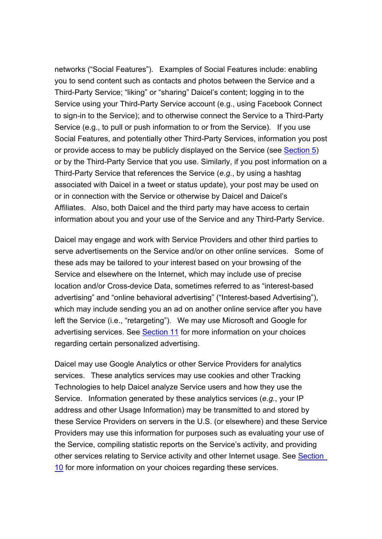networks ("Social Features"). Examples of Social Features include: enabling you to send content such as contacts and photos between the Service and a Third-Party Service; "liking" or "sharing" Daicel's content; logging in to the Service using your Third-Party Service account (e.g., using Facebook Connect to sign-in to the Service); and to otherwise connect the Service to a Third-Party Service (e.g., to pull or push information to or from the Service). If you use Social Features, and potentially other Third-Party Services, information you post or provide access to may be publicly displayed on the Service (see Section 5) or by the Third-Party Service that you use. Similarly, if you post information on a Third-Party Service that references the Service (*e.g.*, by using a hashtag associated with Daicel in a tweet or status update), your post may be used on or in connection with the Service or otherwise by Daicel and Daicel's Affiliates. Also, both Daicel and the third party may have access to certain information about you and your use of the Service and any Third-Party Service.

Daicel may engage and work with Service Providers and other third parties to serve advertisements on the Service and/or on other online services. Some of these ads may be tailored to your interest based on your browsing of the Service and elsewhere on the Internet, which may include use of precise location and/or Cross-device Data, sometimes referred to as "interest-based advertising" and "online behavioral advertising" ("Interest-based Advertising"), which may include sending you an ad on another online service after you have left the Service (i.e., "retargeting"). We may use Microsoft and Google for advertising services. See Section 11 for more information on your choices regarding certain personalized advertising.

Daicel may use Google Analytics or other Service Providers for analytics services. These analytics services may use cookies and other Tracking Technologies to help Daicel analyze Service users and how they use the Service. Information generated by these analytics services (*e.g.*, your IP address and other Usage Information) may be transmitted to and stored by these Service Providers on servers in the U.S. (or elsewhere) and these Service Providers may use this information for purposes such as evaluating your use of the Service, compiling statistic reports on the Service's activity, and providing other services relating to Service activity and other Internet usage. See Section 10 for more information on your choices regarding these services.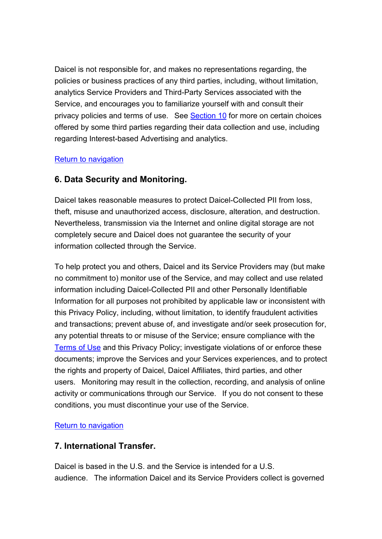Daicel is not responsible for, and makes no representations regarding, the policies or business practices of any third parties, including, without limitation, analytics Service Providers and Third-Party Services associated with the Service, and encourages you to familiarize yourself with and consult their privacy policies and terms of use. See Section 10 for more on certain choices offered by some third parties regarding their data collection and use, including regarding Interest-based Advertising and analytics.

#### [Return to navigation](file://privacy-policy)

# **6. Data Security and Monitoring.**

Daicel takes reasonable measures to protect Daicel-Collected PII from loss, theft, misuse and unauthorized access, disclosure, alteration, and destruction. Nevertheless, transmission via the Internet and online digital storage are not completely secure and Daicel does not guarantee the security of your information collected through the Service.

To help protect you and others, Daicel and its Service Providers may (but make no commitment to) monitor use of the Service, and may collect and use related information including Daicel-Collected PII and other Personally Identifiable Information for all purposes not prohibited by applicable law or inconsistent with this Privacy Policy, including, without limitation, to identify fraudulent activities and transactions; prevent abuse of, and investigate and/or seek prosecution for, any potential threats to or misuse of the Service; ensure compliance with the [Terms of Use](file://terms) and this Privacy Policy; investigate violations of or enforce these documents; improve the Services and your Services experiences, and to protect the rights and property of Daicel, Daicel Affiliates, third parties, and other users. Monitoring may result in the collection, recording, and analysis of online activity or communications through our Service. If you do not consent to these conditions, you must discontinue your use of the Service.

### [Return to navigation](file://privacy-policy)

# **7. International Transfer.**

Daicel is based in the U.S. and the Service is intended for a U.S. audience. The information Daicel and its Service Providers collect is governed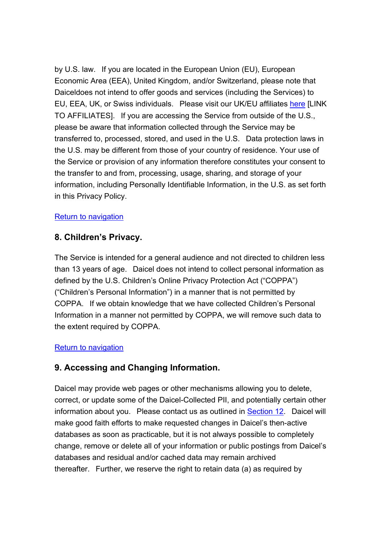by U.S. law. If you are located in the European Union (EU), European Economic Area (EEA), United Kingdom, and/or Switzerland, please note that Daiceldoes not intend to offer goods and services (including the Services) to EU, EEA, UK, or Swiss individuals. Please visit our UK/EU affiliates here [LINK TO AFFILIATES]. If you are accessing the Service from outside of the U.S., please be aware that information collected through the Service may be transferred to, processed, stored, and used in the U.S. Data protection laws in the U.S. may be different from those of your country of residence. Your use of the Service or provision of any information therefore constitutes your consent to the transfer to and from, processing, usage, sharing, and storage of your information, including Personally Identifiable Information, in the U.S. as set forth in this Privacy Policy.

#### **[Return to navigation](file://privacy-policy)**

# **8. Children's Privacy.**

The Service is intended for a general audience and not directed to children less than 13 years of age. Daicel does not intend to collect personal information as defined by the U.S. Children's Online Privacy Protection Act ("COPPA") ("Children's Personal Information") in a manner that is not permitted by COPPA. If we obtain knowledge that we have collected Children's Personal Information in a manner not permitted by COPPA, we will remove such data to the extent required by COPPA.

### [Return to navigation](file://privacy-policy)

# **9. Accessing and Changing Information.**

Daicel may provide web pages or other mechanisms allowing you to delete, correct, or update some of the Daicel-Collected PII, and potentially certain other information about you. Please contact us as outlined in Section 12. Daicel will make good faith efforts to make requested changes in Daicel's then-active databases as soon as practicable, but it is not always possible to completely change, remove or delete all of your information or public postings from Daicel's databases and residual and/or cached data may remain archived thereafter. Further, we reserve the right to retain data (a) as required by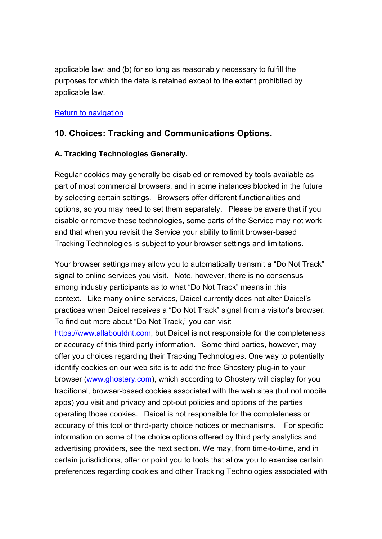applicable law; and (b) for so long as reasonably necessary to fulfill the purposes for which the data is retained except to the extent prohibited by applicable law.

#### [Return to navigation](file://privacy-policy)

### **10. Choices: Tracking and Communications Options.**

#### **A. Tracking Technologies Generally.**

Regular cookies may generally be disabled or removed by tools available as part of most commercial browsers, and in some instances blocked in the future by selecting certain settings. Browsers offer different functionalities and options, so you may need to set them separately. Please be aware that if you disable or remove these technologies, some parts of the Service may not work and that when you revisit the Service your ability to limit browser-based Tracking Technologies is subject to your browser settings and limitations.

Your browser settings may allow you to automatically transmit a "Do Not Track" signal to online services you visit. Note, however, there is no consensus among industry participants as to what "Do Not Track" means in this context. Like many online services, Daicel currently does not alter Daicel's practices when Daicel receives a "Do Not Track" signal from a visitor's browser. To find out more about "Do Not Track," you can visit [https://www.allaboutdnt.com,](https://www.allaboutdnt.com/) but Daicel is not responsible for the completeness or accuracy of this third party information. Some third parties, however, may offer you choices regarding their Tracking Technologies. One way to potentially identify cookies on our web site is to add the free Ghostery plug-in to your browser [\(www.ghostery.com\)](https://www.ghostery.com/), which according to Ghostery will display for you traditional, browser-based cookies associated with the web sites (but not mobile apps) you visit and privacy and opt-out policies and options of the parties

operating those cookies. Daicel is not responsible for the completeness or accuracy of this tool or third-party choice notices or mechanisms. For specific information on some of the choice options offered by third party analytics and advertising providers, see the next section. We may, from time-to-time, and in certain jurisdictions, offer or point you to tools that allow you to exercise certain preferences regarding cookies and other Tracking Technologies associated with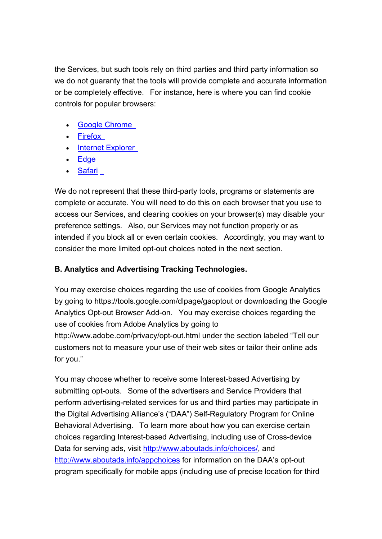the Services, but such tools rely on third parties and third party information so we do not guaranty that the tools will provide complete and accurate information or be completely effective. For instance, here is where you can find cookie controls for popular browsers:

- [Google Chrome](https://support.google.com/chrome/answer/95647?co=GENIE.Platform%3DDesktop&hl=en)
- [Firefox](https://support.mozilla.org/en-US/kb/enable-and-disable-cookies-website-preferences)
- [Internet Explorer](https://support.microsoft.com/en-gb/help/17442/windows-internet-explorer-delete-manage-cookies)
- [Edge](https://support.microsoft.com/en-us/help/4027947/microsoft-edge-delete-cookies)
- [Safari](https://support.apple.com/en-gb/HT201265)

We do not represent that these third-party tools, programs or statements are complete or accurate. You will need to do this on each browser that you use to access our Services, and clearing cookies on your browser(s) may disable your preference settings. Also, our Services may not function properly or as intended if you block all or even certain cookies. Accordingly, you may want to consider the more limited opt-out choices noted in the next section.

# **B. Analytics and Advertising Tracking Technologies.**

You may exercise choices regarding the use of cookies from Google Analytics by going to https://tools.google.com/dlpage/gaoptout or downloading the Google Analytics Opt-out Browser Add-on. You may exercise choices regarding the use of cookies from Adobe Analytics by going to

http://www.adobe.com/privacy/opt-out.html under the section labeled "Tell our customers not to measure your use of their web sites or tailor their online ads for you."

You may choose whether to receive some Interest-based Advertising by submitting opt-outs. Some of the advertisers and Service Providers that perform advertising-related services for us and third parties may participate in the Digital Advertising Alliance's ("DAA") Self-Regulatory Program for Online Behavioral Advertising. To learn more about how you can exercise certain choices regarding Interest-based Advertising, including use of Cross-device Data for serving ads, visit [http://www.aboutads.info/choices/,](http://www.aboutads.info/choices/) and <http://www.aboutads.info/appchoices> for information on the DAA's opt-out program specifically for mobile apps (including use of precise location for third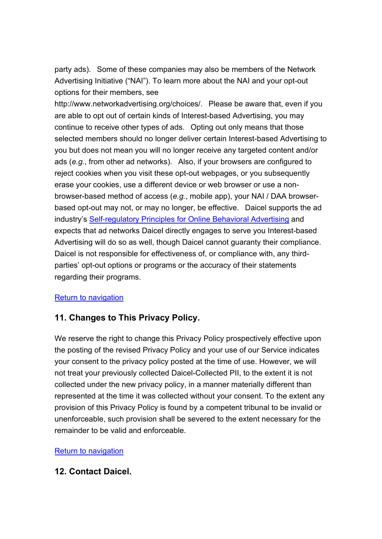party ads). Some of these companies may also be members of the Network Advertising Initiative ("NAI"). To learn more about the NAI and your opt-out options for their members, see

http://www.networkadvertising.org/choices/. Please be aware that, even if you are able to opt out of certain kinds of Interest-based Advertising, you may continue to receive other types of ads. Opting out only means that those selected members should no longer deliver certain Interest-based Advertising to you but does not mean you will no longer receive any targeted content and/or ads (*e.g.*, from other ad networks). Also, if your browsers are configured to reject cookies when you visit these opt-out webpages, or you subsequently erase your cookies, use a different device or web browser or use a nonbrowser-based method of access (*e.g.*, mobile app), your NAI / DAA browserbased opt-out may not, or may no longer, be effective. Daicel supports the ad industry's [Self-regulatory Principles for Online Behavioral Advertising](https://www.iab.com/wp-content/uploads/2015/05/ven-principles-07-01-09.pdf) and expects that ad networks Daicel directly engages to serve you Interest-based Advertising will do so as well, though Daicel cannot guaranty their compliance. Daicel is not responsible for effectiveness of, or compliance with, any thirdparties' opt-out options or programs or the accuracy of their statements regarding their programs.

#### [Return to navigation](file://privacy-policy)

# **11. Changes to This Privacy Policy.**

We reserve the right to change this Privacy Policy prospectively effective upon the posting of the revised Privacy Policy and your use of our Service indicates your consent to the privacy policy posted at the time of use. However, we will not treat your previously collected Daicel-Collected PII, to the extent it is not collected under the new privacy policy, in a manner materially different than represented at the time it was collected without your consent. To the extent any provision of this Privacy Policy is found by a competent tribunal to be invalid or unenforceable, such provision shall be severed to the extent necessary for the remainder to be valid and enforceable.

### [Return to navigation](file://privacy-policy)

### **12. Contact Daicel.**